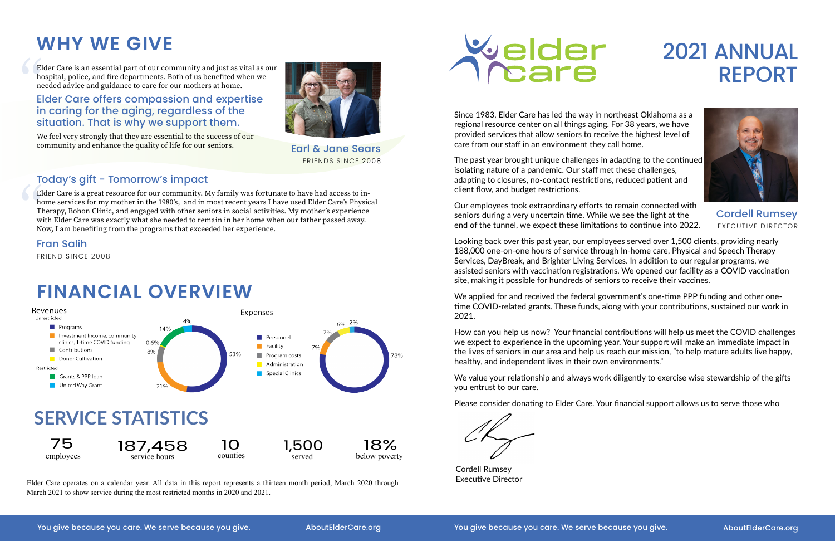## 2021 ANNUAL REPORT

Elder Care is an essential part of our community and just as vital as our hospital, police, and fire departments. Both of us benefited when we needed advice and guidance to care for our mothers at home. El<br>
htm<br>
E<br>
ir

## **WHY WE GIVE**

We feel very strongly that they are essential to the success of our community and enhance the quality of life for our seniors.



Elder Care is a great resource for our community. My family was fortunate to have had access to inhome services for my mother in the 1980's, and in most recent years I have used Elder Care's Physical Therapy, Bohon Clinic, and engaged with other seniors in social activities. My mother's experience with Elder Care was exactly what she needed to remain in her home when our father passed away. Now, I am benefiting from the programs that exceeded her experience. El<br>htm<br>Tl<br>w<br>N

#### Elder Care offers compassion and expertise in caring for the aging, regardless of the situation. That is why we support them.

Earl & Jane Sears FRIENDS SINCE 2008

#### Today's gift - Tomorrow's impact

Fran Salih

FRIEND SINCE 2008

## **FINANCIAL OVERVIEW**

Since 1983, Elder Care has led the way in northeast Oklahoma as a regional resource center on all things aging. For 38 years, we have provided services that allow seniors to receive the highest level of care from our staff in an environment they call home.

We value your relationship and always work diligently to exercise wise stewardship of the gifts you entrust to our care.

The past year brought unique challenges in adapting to the continued isolating nature of a pandemic. Our staff met these challenges, adapting to closures, no-contact restrictions, reduced patient and client flow, and budget restrictions.

Our employees took extraordinary efforts to remain connected with seniors during a very uncertain time. While we see the light at the end of the tunnel, we expect these limitations to continue into 2022.

Looking back over this past year, our employees served over 1,500 clients, providing nearly 188,000 one-on-one hours of service through In-home care, Physical and Speech Therapy Services, DayBreak, and Brighter Living Services. In addition to our regular programs, we assisted seniors with vaccination registrations. We opened our facility as a COVID vaccination site, making it possible for hundreds of seniors to receive their vaccines.

We applied for and received the federal government's one-time PPP funding and other onetime COVID-related grants. These funds, along with your contributions, sustained our work in 2021.

How can you help us now? Your financial contributions will help us meet the COVID challenges we expect to experience in the upcoming year. Your support will make an immediate impact in the lives of seniors in our area and help us reach our mission, "to help mature adults live happy, healthy, and independent lives in their own environments."

Please consider donating to Elder Care. Your financial support allows us to serve those who

Cordell Rumsey Executive Director



Cordell Rumsey EXECUTIVE DIRECTOR



Elder Care operates on a calendar year. All data in this report represents a thirteen month period, March 2020 through March 2021 to show service during the most restricted months in 2020 and 2021.